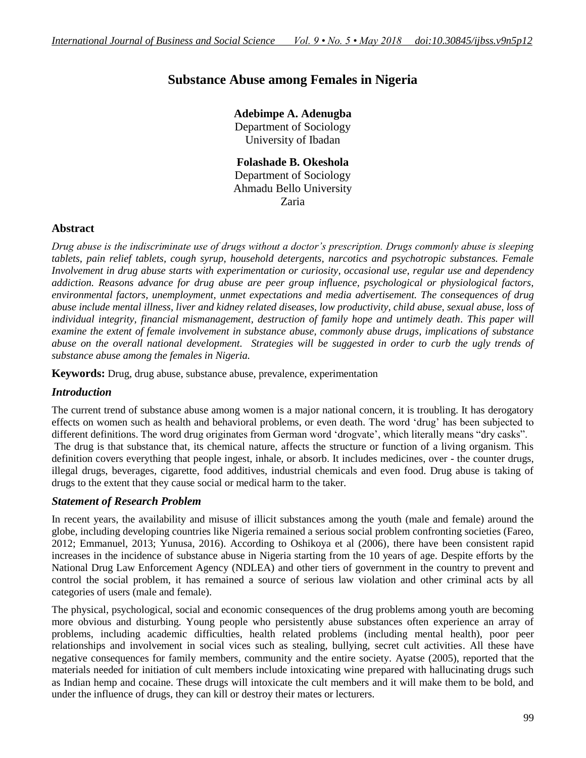# **Substance Abuse among Females in Nigeria**

**Adebimpe A. Adenugba** Department of Sociology University of Ibadan

**Folashade B. Okeshola** Department of Sociology Ahmadu Bello University Zaria

# **Abstract**

*Drug abuse is the indiscriminate use of drugs without a doctor's prescription. Drugs commonly abuse is sleeping tablets, pain relief tablets, cough syrup, household detergents, narcotics and psychotropic substances. Female Involvement in drug abuse starts with experimentation or curiosity, occasional use, regular use and dependency addiction. Reasons advance for drug abuse are peer group influence, psychological or physiological factors, environmental factors, unemployment, unmet expectations and media advertisement. The consequences of drug abuse include mental illness, liver and kidney related diseases, low productivity, child abuse, sexual abuse, loss of individual integrity, financial mismanagement, destruction of family hope and untimely death. This paper will examine the extent of female involvement in substance abuse, commonly abuse drugs, implications of substance abuse on the overall national development. Strategies will be suggested in order to curb the ugly trends of substance abuse among the females in Nigeria.*

**Keywords:** Drug, drug abuse, substance abuse, prevalence, experimentation

# *Introduction*

The current trend of substance abuse among women is a major national concern, it is troubling. It has derogatory effects on women such as health and behavioral problems, or even death. The word "drug" has been subjected to different definitions. The word drug originates from German word "drogvate", which literally means "dry casks". The drug is that substance that, its chemical nature, affects the structure or function of a living organism. This definition covers everything that people ingest, inhale, or absorb. It includes medicines, over - the counter drugs, illegal drugs, beverages, cigarette, food additives, industrial chemicals and even food. Drug abuse is taking of drugs to the extent that they cause social or medical harm to the taker.

# *Statement of Research Problem*

In recent years, the availability and misuse of illicit substances among the youth (male and female) around the globe, including developing countries like Nigeria remained a serious social problem confronting societies (Fareo, 2012; Emmanuel, 2013; Yunusa, 2016). According to Oshikoya et al (2006), there have been consistent rapid increases in the incidence of substance abuse in Nigeria starting from the 10 years of age. Despite efforts by the National Drug Law Enforcement Agency (NDLEA) and other tiers of government in the country to prevent and control the social problem, it has remained a source of serious law violation and other criminal acts by all categories of users (male and female).

The physical, psychological, social and economic consequences of the drug problems among youth are becoming more obvious and disturbing. Young people who persistently abuse substances often experience an array of problems, including academic difficulties, health related problems (including mental health), poor peer relationships and involvement in social vices such as stealing, bullying, secret cult activities. All these have negative consequences for family members, community and the entire society. Ayatse (2005), reported that the materials needed for initiation of cult members include intoxicating wine prepared with hallucinating drugs such as Indian hemp and cocaine. These drugs will intoxicate the cult members and it will make them to be bold, and under the influence of drugs, they can kill or destroy their mates or lecturers.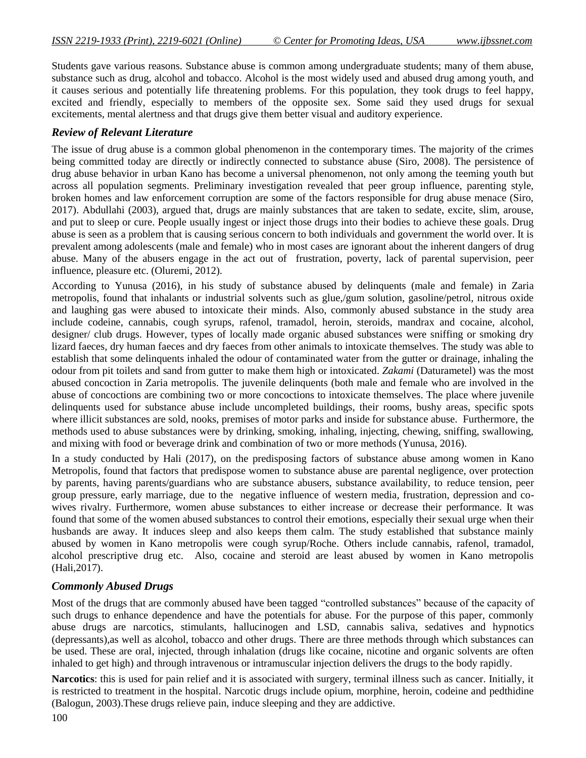Students gave various reasons. Substance abuse is common among undergraduate students; many of them abuse, substance such as drug, alcohol and tobacco. Alcohol is the most widely used and abused drug among youth, and it causes serious and potentially life threatening problems. For this population, they took drugs to feel happy, excited and friendly, especially to members of the opposite sex. Some said they used drugs for sexual excitements, mental alertness and that drugs give them better visual and auditory experience.

#### *Review of Relevant Literature*

The issue of drug abuse is a common global phenomenon in the contemporary times. The majority of the crimes being committed today are directly or indirectly connected to substance abuse (Siro, 2008). The persistence of drug abuse behavior in urban Kano has become a universal phenomenon, not only among the teeming youth but across all population segments. Preliminary investigation revealed that peer group influence, parenting style, broken homes and law enforcement corruption are some of the factors responsible for drug abuse menace (Siro, 2017). Abdullahi (2003), argued that, drugs are mainly substances that are taken to sedate, excite, slim, arouse, and put to sleep or cure. People usually ingest or inject those drugs into their bodies to achieve these goals. Drug abuse is seen as a problem that is causing serious concern to both individuals and government the world over. It is prevalent among adolescents (male and female) who in most cases are ignorant about the inherent dangers of drug abuse. Many of the abusers engage in the act out of frustration, poverty, lack of parental supervision, peer influence, pleasure etc. (Oluremi, 2012).

According to Yunusa (2016), in his study of substance abused by delinquents (male and female) in Zaria metropolis, found that inhalants or industrial solvents such as glue,/gum solution, gasoline/petrol, nitrous oxide and laughing gas were abused to intoxicate their minds. Also, commonly abused substance in the study area include codeine, cannabis, cough syrups, rafenol, tramadol, heroin, steroids, mandrax and cocaine, alcohol, designer/ club drugs. However, types of locally made organic abused substances were sniffing or smoking dry lizard faeces, dry human faeces and dry faeces from other animals to intoxicate themselves. The study was able to establish that some delinquents inhaled the odour of contaminated water from the gutter or drainage, inhaling the odour from pit toilets and sand from gutter to make them high or intoxicated. *Zakami* (Daturametel) was the most abused concoction in Zaria metropolis. The juvenile delinquents (both male and female who are involved in the abuse of concoctions are combining two or more concoctions to intoxicate themselves. The place where juvenile delinquents used for substance abuse include uncompleted buildings, their rooms, bushy areas, specific spots where illicit substances are sold, nooks, premises of motor parks and inside for substance abuse. Furthermore, the methods used to abuse substances were by drinking, smoking, inhaling, injecting, chewing, sniffing, swallowing, and mixing with food or beverage drink and combination of two or more methods (Yunusa, 2016).

In a study conducted by Hali (2017), on the predisposing factors of substance abuse among women in Kano Metropolis, found that factors that predispose women to substance abuse are parental negligence, over protection by parents, having parents/guardians who are substance abusers, substance availability, to reduce tension, peer group pressure, early marriage, due to the negative influence of western media, frustration, depression and cowives rivalry. Furthermore, women abuse substances to either increase or decrease their performance. It was found that some of the women abused substances to control their emotions, especially their sexual urge when their husbands are away. It induces sleep and also keeps them calm. The study established that substance mainly abused by women in Kano metropolis were cough syrup/Roche. Others include cannabis, rafenol, tramadol, alcohol prescriptive drug etc. Also, cocaine and steroid are least abused by women in Kano metropolis (Hali,2017).

# *Commonly Abused Drugs*

Most of the drugs that are commonly abused have been tagged "controlled substances" because of the capacity of such drugs to enhance dependence and have the potentials for abuse. For the purpose of this paper, commonly abuse drugs are narcotics, stimulants, hallucinogen and LSD, cannabis saliva, sedatives and hypnotics (depressants),as well as alcohol, tobacco and other drugs. There are three methods through which substances can be used. These are oral, injected, through inhalation (drugs like cocaine, nicotine and organic solvents are often inhaled to get high) and through intravenous or intramuscular injection delivers the drugs to the body rapidly.

**Narcotics**: this is used for pain relief and it is associated with surgery, terminal illness such as cancer. Initially, it is restricted to treatment in the hospital. Narcotic drugs include opium, morphine, heroin, codeine and pedthidine (Balogun, 2003).These drugs relieve pain, induce sleeping and they are addictive.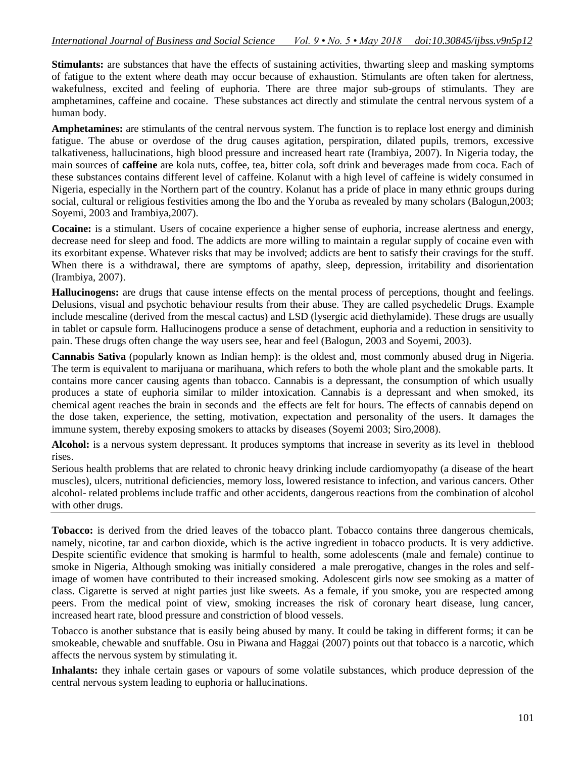**Stimulants:** are substances that have the effects of sustaining activities, thwarting sleep and masking symptoms of fatigue to the extent where death may occur because of exhaustion. Stimulants are often taken for alertness, wakefulness, excited and feeling of euphoria. There are three major sub-groups of stimulants. They are amphetamines, caffeine and cocaine. These substances act directly and stimulate the central nervous system of a human body.

**Amphetamines:** are stimulants of the central nervous system. The function is to replace lost energy and diminish fatigue. The abuse or overdose of the drug causes agitation, perspiration, dilated pupils, tremors, excessive talkativeness, hallucinations, high blood pressure and increased heart rate (Irambiya, 2007). In Nigeria today, the main sources of **caffeine** are kola nuts, coffee, tea, bitter cola, soft drink and beverages made from coca. Each of these substances contains different level of caffeine. Kolanut with a high level of caffeine is widely consumed in Nigeria, especially in the Northern part of the country. Kolanut has a pride of place in many ethnic groups during social, cultural or religious festivities among the Ibo and the Yoruba as revealed by many scholars (Balogun,2003; Soyemi, 2003 and Irambiya,2007).

**Cocaine:** is a stimulant. Users of cocaine experience a higher sense of euphoria, increase alertness and energy, decrease need for sleep and food. The addicts are more willing to maintain a regular supply of cocaine even with its exorbitant expense. Whatever risks that may be involved; addicts are bent to satisfy their cravings for the stuff. When there is a withdrawal, there are symptoms of apathy, sleep, depression, irritability and disorientation (Irambiya, 2007).

**Hallucinogens:** are drugs that cause intense effects on the mental process of perceptions, thought and feelings. Delusions, visual and psychotic behaviour results from their abuse. They are called psychedelic Drugs. Example include mescaline (derived from the mescal cactus) and LSD (lysergic acid diethylamide). These drugs are usually in tablet or capsule form. Hallucinogens produce a sense of detachment, euphoria and a reduction in sensitivity to pain. These drugs often change the way users see, hear and feel (Balogun, 2003 and Soyemi, 2003).

**Cannabis Sativa** (popularly known as Indian hemp): is the oldest and, most commonly abused drug in Nigeria. The term is equivalent to marijuana or marihuana, which refers to both the whole plant and the smokable parts. It contains more cancer causing agents than tobacco. Cannabis is a depressant, the consumption of which usually produces a state of euphoria similar to milder intoxication. Cannabis is a depressant and when smoked, its chemical agent reaches the brain in seconds and the effects are felt for hours. The effects of cannabis depend on the dose taken, experience, the setting, motivation, expectation and personality of the users. It damages the immune system, thereby exposing smokers to attacks by diseases (Soyemi 2003; Siro,2008).

**Alcohol:** is a nervous system depressant. It produces symptoms that increase in severity as its level in theblood rises.

Serious health problems that are related to chronic heavy drinking include cardiomyopathy (a disease of the heart muscles), ulcers, nutritional deficiencies, memory loss, lowered resistance to infection, and various cancers. Other alcohol- related problems include traffic and other accidents, dangerous reactions from the combination of alcohol with other drugs.

**Tobacco:** is derived from the dried leaves of the tobacco plant. Tobacco contains three dangerous chemicals, namely, nicotine, tar and carbon dioxide, which is the active ingredient in tobacco products. It is very addictive. Despite scientific evidence that smoking is harmful to health, some adolescents (male and female) continue to smoke in Nigeria, Although smoking was initially considered a male prerogative, changes in the roles and selfimage of women have contributed to their increased smoking. Adolescent girls now see smoking as a matter of class. Cigarette is served at night parties just like sweets. As a female, if you smoke, you are respected among peers. From the medical point of view, smoking increases the risk of coronary heart disease, lung cancer, increased heart rate, blood pressure and constriction of blood vessels.

Tobacco is another substance that is easily being abused by many. It could be taking in different forms; it can be smokeable, chewable and snuffable. Osu in Piwana and Haggai (2007) points out that tobacco is a narcotic, which affects the nervous system by stimulating it.

**Inhalants:** they inhale certain gases or vapours of some volatile substances, which produce depression of the central nervous system leading to euphoria or hallucinations.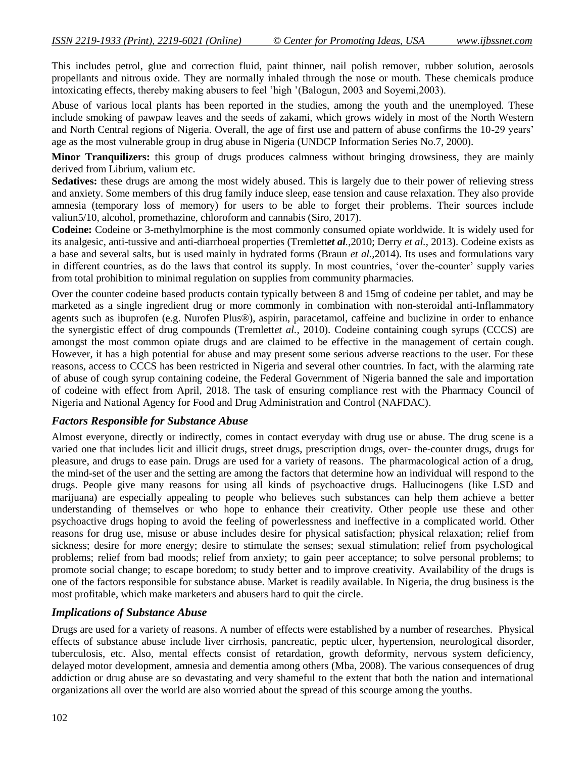This includes petrol, glue and correction fluid, paint thinner, nail polish remover, rubber solution, aerosols propellants and nitrous oxide. They are normally inhaled through the nose or mouth. These chemicals produce intoxicating effects, thereby making abusers to feel "high "(Balogun, 2003 and Soyemi,2003).

Abuse of various local plants has been reported in the studies, among the youth and the unemployed. These include smoking of pawpaw leaves and the seeds of zakami, which grows widely in most of the North Western and North Central regions of Nigeria. Overall, the age of first use and pattern of abuse confirms the 10-29 years' age as the most vulnerable group in drug abuse in Nigeria (UNDCP Information Series No.7, 2000).

**Minor Tranquilizers:** this group of drugs produces calmness without bringing drowsiness, they are mainly derived from Librium, valium etc.

**Sedatives:** these drugs are among the most widely abused. This is largely due to their power of relieving stress and anxiety. Some members of this drug family induce sleep, ease tension and cause relaxation. They also provide amnesia (temporary loss of memory) for users to be able to forget their problems. Their sources include valiun5/10, alcohol, promethazine, chloroform and cannabis (Siro, 2017).

**Codeine:** Codeine or 3-methylmorphine is the most commonly consumed opiate worldwide. It is widely used for its analgesic, anti-tussive and anti-diarrhoeal properties (Tremlett*et al.*,2010; Derry *et al.*, 2013). Codeine exists as a base and several salts, but is used mainly in hydrated forms (Braun *et al.,*2014). Its uses and formulations vary in different countries, as do the laws that control its supply. In most countries, "over the-counter" supply varies from total prohibition to minimal regulation on supplies from community pharmacies.

Over the counter codeine based products contain typically between 8 and 15mg of codeine per tablet, and may be marketed as a single ingredient drug or more commonly in combination with non-steroidal anti-Inflammatory agents such as ibuprofen (e.g. Nurofen Plus®), aspirin, paracetamol, caffeine and buclizine in order to enhance the synergistic effect of drug compounds (Tremlett*et al.*, 2010). Codeine containing cough syrups (CCCS) are amongst the most common opiate drugs and are claimed to be effective in the management of certain cough. However, it has a high potential for abuse and may present some serious adverse reactions to the user. For these reasons, access to CCCS has been restricted in Nigeria and several other countries. In fact, with the alarming rate of abuse of cough syrup containing codeine, the Federal Government of Nigeria banned the sale and importation of codeine with effect from April, 2018. The task of ensuring compliance rest with the Pharmacy Council of Nigeria and National Agency for Food and Drug Administration and Control (NAFDAC).

#### *Factors Responsible for Substance Abuse*

Almost everyone, directly or indirectly, comes in contact everyday with drug use or abuse. The drug scene is a varied one that includes licit and illicit drugs, street drugs, prescription drugs, over- the-counter drugs, drugs for pleasure, and drugs to ease pain. Drugs are used for a variety of reasons. The pharmacological action of a drug, the mind-set of the user and the setting are among the factors that determine how an individual will respond to the drugs. People give many reasons for using all kinds of psychoactive drugs. Hallucinogens (like LSD and marijuana) are especially appealing to people who believes such substances can help them achieve a better understanding of themselves or who hope to enhance their creativity. Other people use these and other psychoactive drugs hoping to avoid the feeling of powerlessness and ineffective in a complicated world. Other reasons for drug use, misuse or abuse includes desire for physical satisfaction; physical relaxation; relief from sickness; desire for more energy; desire to stimulate the senses; sexual stimulation; relief from psychological problems; relief from bad moods; relief from anxiety; to gain peer acceptance; to solve personal problems; to promote social change; to escape boredom; to study better and to improve creativity. Availability of the drugs is one of the factors responsible for substance abuse. Market is readily available. In Nigeria, the drug business is the most profitable, which make marketers and abusers hard to quit the circle.

# *Implications of Substance Abuse*

Drugs are used for a variety of reasons. A number of effects were established by a number of researches. Physical effects of substance abuse include liver cirrhosis, pancreatic, peptic ulcer, hypertension, neurological disorder, tuberculosis, etc. Also, mental effects consist of retardation, growth deformity, nervous system deficiency, delayed motor development, amnesia and dementia among others (Mba, 2008). The various consequences of drug addiction or drug abuse are so devastating and very shameful to the extent that both the nation and international organizations all over the world are also worried about the spread of this scourge among the youths.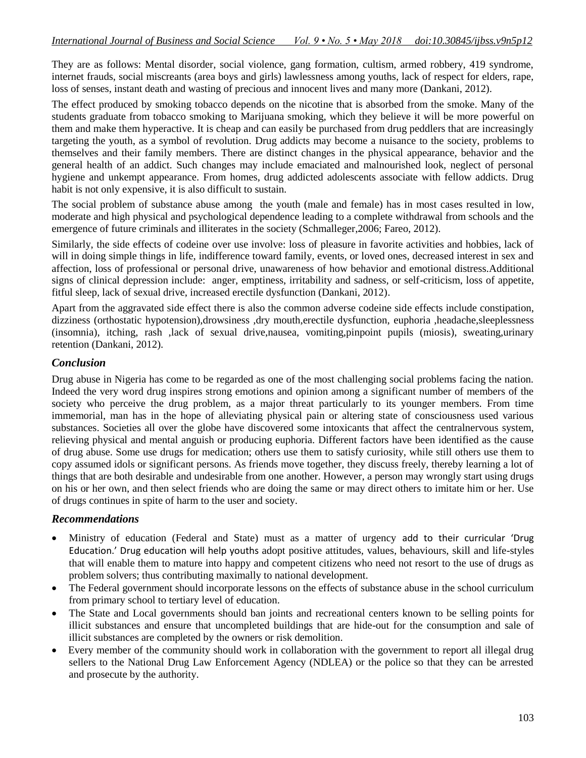They are as follows: Mental disorder, social violence, gang formation, cultism, armed robbery, 419 syndrome, internet frauds, social miscreants (area boys and girls) lawlessness among youths, lack of respect for elders, rape, loss of senses, instant death and wasting of precious and innocent lives and many more (Dankani, 2012).

The effect produced by smoking tobacco depends on the nicotine that is absorbed from the smoke. Many of the students graduate from tobacco smoking to Marijuana smoking, which they believe it will be more powerful on them and make them hyperactive. It is cheap and can easily be purchased from drug peddlers that are increasingly targeting the youth, as a symbol of revolution. Drug addicts may become a nuisance to the society, problems to themselves and their family members. There are distinct changes in the physical appearance, behavior and the general health of an addict. Such changes may include emaciated and malnourished look, neglect of personal hygiene and unkempt appearance. From homes, drug addicted adolescents associate with fellow addicts. Drug habit is not only expensive, it is also difficult to sustain.

The social problem of substance abuse among the youth (male and female) has in most cases resulted in low, moderate and high physical and psychological dependence leading to a complete withdrawal from schools and the emergence of future criminals and illiterates in the society (Schmalleger,2006; Fareo, 2012).

Similarly, the side effects of codeine over use involve: loss of pleasure in favorite activities and hobbies, lack of will in doing simple things in life, indifference toward family, events, or loved ones, decreased interest in sex and affection, loss of professional or personal drive, unawareness of how behavior and emotional distress.Additional signs of clinical depression include: anger, emptiness, irritability and sadness, or self-criticism, loss of appetite, fitful sleep, lack of sexual drive, increased erectile dysfunction (Dankani, 2012).

Apart from the aggravated side effect there is also the common adverse codeine side effects include constipation, dizziness (orthostatic hypotension),drowsiness ,dry mouth,erectile dysfunction, euphoria ,headache,sleeplessness (insomnia), itching, rash ,lack of sexual drive,nausea, vomiting,pinpoint pupils (miosis), sweating,urinary retention (Dankani, 2012).

# *Conclusion*

Drug abuse in Nigeria has come to be regarded as one of the most challenging social problems facing the nation. Indeed the very word drug inspires strong emotions and opinion among a significant number of members of the society who perceive the drug problem, as a major threat particularly to its younger members. From time immemorial, man has in the hope of alleviating physical pain or altering state of consciousness used various substances. Societies all over the globe have discovered some intoxicants that affect the centralnervous system, relieving physical and mental anguish or producing euphoria. Different factors have been identified as the cause of drug abuse. Some use drugs for medication; others use them to satisfy curiosity, while still others use them to copy assumed idols or significant persons. As friends move together, they discuss freely, thereby learning a lot of things that are both desirable and undesirable from one another. However, a person may wrongly start using drugs on his or her own, and then select friends who are doing the same or may direct others to imitate him or her. Use of drugs continues in spite of harm to the user and society.

# *Recommendations*

- Ministry of education (Federal and State) must as a matter of urgency add to their curricular 'Drug Education.' Drug education will help youths adopt positive attitudes, values, behaviours, skill and life-styles that will enable them to mature into happy and competent citizens who need not resort to the use of drugs as problem solvers; thus contributing maximally to national development.
- The Federal government should incorporate lessons on the effects of substance abuse in the school curriculum from primary school to tertiary level of education.
- The State and Local governments should ban joints and recreational centers known to be selling points for illicit substances and ensure that uncompleted buildings that are hide-out for the consumption and sale of illicit substances are completed by the owners or risk demolition.
- Every member of the community should work in collaboration with the government to report all illegal drug sellers to the National Drug Law Enforcement Agency (NDLEA) or the police so that they can be arrested and prosecute by the authority.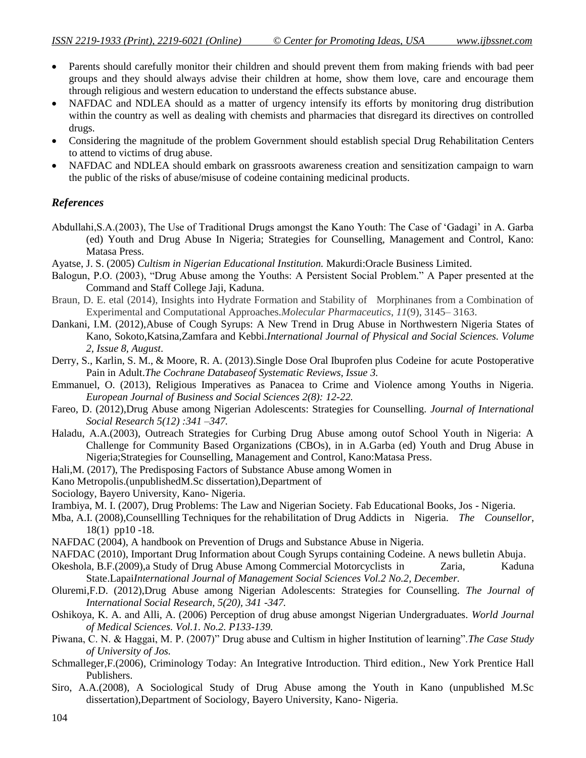- Parents should carefully monitor their children and should prevent them from making friends with bad peer groups and they should always advise their children at home, show them love, care and encourage them through religious and western education to understand the effects substance abuse.
- NAFDAC and NDLEA should as a matter of urgency intensify its efforts by monitoring drug distribution within the country as well as dealing with chemists and pharmacies that disregard its directives on controlled drugs.
- Considering the magnitude of the problem Government should establish special Drug Rehabilitation Centers to attend to victims of drug abuse.
- NAFDAC and NDLEA should embark on grassroots awareness creation and sensitization campaign to warn the public of the risks of abuse/misuse of codeine containing medicinal products.

# *References*

- Abdullahi,S.A.(2003), The Use of Traditional Drugs amongst the Kano Youth: The Case of "Gadagi" in A. Garba (ed) Youth and Drug Abuse In Nigeria; Strategies for Counselling, Management and Control, Kano: Matasa Press.
- Ayatse, J. S. (2005) *Cultism in Nigerian Educational Institution.* Makurdi:Oracle Business Limited.
- Balogun, P.O. (2003), "Drug Abuse among the Youths: A Persistent Social Problem." A Paper presented at the Command and Staff College Jaji, Kaduna.
- Braun, D. E. etal (2014), Insights into Hydrate Formation and Stability of Morphinanes from a Combination of Experimental and Computational Approaches.*Molecular Pharmaceutics*, *11*(9), 3145– 3163.
- Dankani, I.M. (2012),Abuse of Cough Syrups: A New Trend in Drug Abuse in Northwestern Nigeria States of Kano, Sokoto,Katsina,Zamfara and Kebbi.*International Journal of Physical and Social Sciences. Volume 2, Issue 8, August*.
- Derry, S., Karlin, S. M., & Moore, R. A. (2013).Single Dose Oral Ibuprofen plus Codeine for acute Postoperative Pain in Adult.*The Cochrane Databaseof Systematic Reviews, Issue 3.*
- Emmanuel, O. (2013), Religious Imperatives as Panacea to Crime and Violence among Youths in Nigeria. *European Journal of Business and Social Sciences 2(8): 12-22.*
- Fareo, D. (2012),Drug Abuse among Nigerian Adolescents: Strategies for Counselling. *Journal of International Social Research 5(12) :341 –347.*
- Haladu, A.A.(2003), Outreach Strategies for Curbing Drug Abuse among outof School Youth in Nigeria: A Challenge for Community Based Organizations (CBOs), in in A.Garba (ed) Youth and Drug Abuse in Nigeria;Strategies for Counselling, Management and Control, Kano:Matasa Press.
- Hali,M. (2017), The Predisposing Factors of Substance Abuse among Women in
- Kano Metropolis.(unpublishedM.Sc dissertation),Department of
- Sociology, Bayero University, Kano- Nigeria.
- Irambiya, M. I. (2007), Drug Problems: The Law and Nigerian Society. Fab Educational Books, Jos Nigeria.
- Mba, A.I. (2008),Counsellling Techniques for the rehabilitation of Drug Addicts in Nigeria. *The Counsellor*, 18(1) pp10 -18.
- NAFDAC (2004), A handbook on Prevention of Drugs and Substance Abuse in Nigeria.
- NAFDAC (2010), Important Drug Information about Cough Syrups containing Codeine. A news bulletin Abuja.
- Okeshola, B.F.(2009),a Study of Drug Abuse Among Commercial Motorcyclists in Zaria, Kaduna State.Lapai*International Journal of Management Social Sciences Vol.2 No.2, December.*
- Oluremi,F.D. (2012),Drug Abuse among Nigerian Adolescents: Strategies for Counselling. *The Journal of International Social Research, 5(20), 341 -347.*
- Oshikoya, K. A. and Alli, A. (2006) Perception of drug abuse amongst Nigerian Undergraduates. *World Journal of Medical Sciences. Vol.1. No.2. P133-139.*
- Piwana, C. N. & Haggai, M. P. (2007)" Drug abuse and Cultism in higher Institution of learning".*The Case Study of University of Jos.*
- Schmalleger,F.(2006), Criminology Today: An Integrative Introduction. Third edition., New York Prentice Hall Publishers.
- Siro, A.A.(2008), A Sociological Study of Drug Abuse among the Youth in Kano (unpublished M.Sc dissertation),Department of Sociology, Bayero University, Kano- Nigeria.